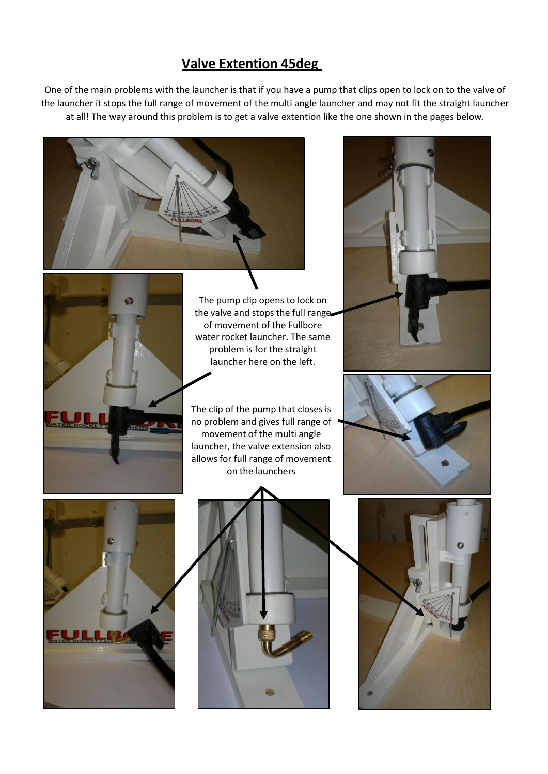## **Valve Extention 45deg**

One of the main problems with the launcher is that if you have a pump that clips open to lock on to the valve of the launcher it stops the full range of movement of the multi angle launcher and may not fit the straight launcher at all! The way around this problem is to get a valve extention like the one shown in the pages below.





The pump clip opens to lock on the valve and stops the full range of movement of the Fullbore water rocket launcher. The same problem is for the straight launcher here on the left.

The clip of the pump that closes is no problem and gives full range of movement of the multi angle launcher, the valve extension also allows for full range of movement on the launchers